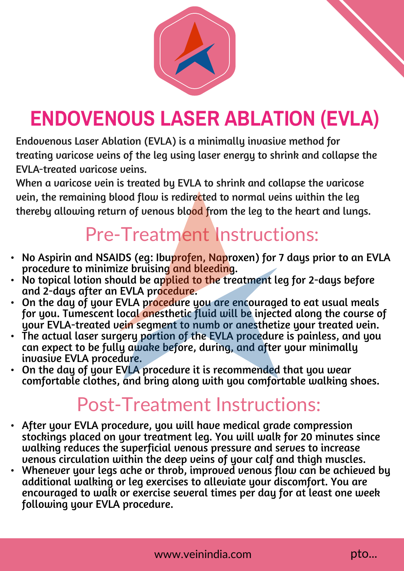

## **ENDOVENOUS LASER ABLATION (EVLA)**

Endovenous Laser Ablation (EVLA) is a minimally invasive method for treating varicose veins of the leg using laser energy to shrink and collapse the EVLA-treated varicose veins.

When a varicose vein is treated by EVLA to shrink and collapse the varicose vein, the remaining blood flow is redirected to normal veins within the leg thereby allowing return of venous blood from the leg to the heart and lungs.

## Pre-Treatment Instructions:

- No Aspirin and NSAIDS (eg: Ibuprofen, Naproxen) for 7 days prior to an EVLA procedure to minimize bruising and bleeding.
- $\cdot$  No topical lotion should be applied to the treatment leg for 2-days before and 2-days after an EVLA procedure.
- On the day of your EVLA procedure you are encouraged to eat usual meals for you. Tumescent local anesthetic fluid will be injected along the course of your EVLA-treated vein segment to numb or anesthetize your treated vein.
- The actual laser surgery portion of the EVLA procedure is painless, and you can expect to be fully awake before, during, and after your minimally invasive EVLA procedure.
- On the day of your EVLA procedure it is recommended that you wear comfortable clothes, and bring along with you comfortable walking shoes.

## Post-Treatment Instructions:

- After your EVLA procedure, you will have medical grade compression stockings placed on your treatment leg. You will walk for 20 minutes since walking reduces the superficial venous pressure and serves to increase venous circulation within the deep veins of your calf and thigh muscles.
- Whenever your legs ache or throb, improved venous flow can be achieved by additional walking or leg exercises to alleviate your discomfort. You are encouraged to walk or exercise several times per day for at least one week following your EVLA procedure.